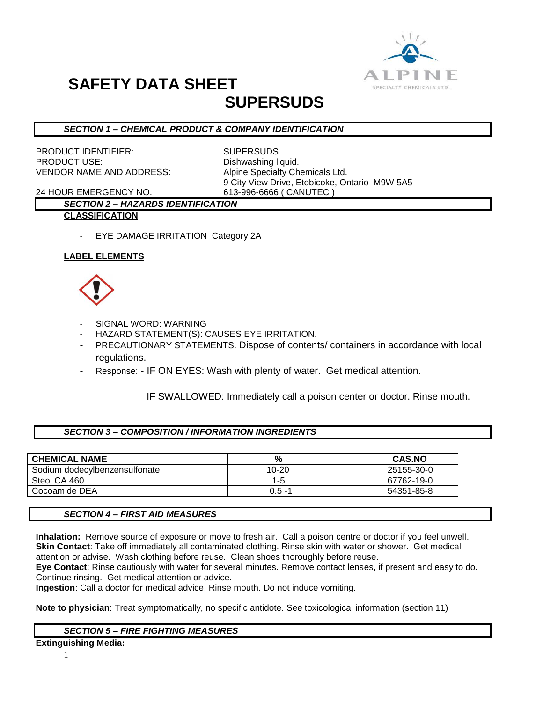

# **SAFETY DATA SHEET**

### **SUPERSUDS**

#### *SECTION 1 – CHEMICAL PRODUCT & COMPANY IDENTIFICATION*

PRODUCT IDENTIFIER: SUPERSUDS PRODUCT USE: Dishwashing liquid. VENDOR NAME AND ADDRESS: Alpine Specialty Chemicals Ltd.

9 City View Drive, Etobicoke, Ontario M9W 5A5

24 HOUR EMERGENCY NO. 613-996-6666 ( CANUTEC )

#### *SECTION 2 – HAZARDS IDENTIFICATION* **CLASSIFICATION**

- EYE DAMAGE IRRITATION Category 2A

#### **LABEL ELEMENTS**



- SIGNAL WORD: WARNING
- HAZARD STATEMENT(S): CAUSES EYE IRRITATION.
- PRECAUTIONARY STATEMENTS: Dispose of contents/ containers in accordance with local regulations.
- Response: IF ON EYES: Wash with plenty of water. Get medical attention.

IF SWALLOWED: Immediately call a poison center or doctor. Rinse mouth.

#### *SECTION 3 – COMPOSITION / INFORMATION INGREDIENTS*

| <b>CHEMICAL NAME</b>          | %         | <b>CAS.NO</b> |
|-------------------------------|-----------|---------------|
| Sodium dodecylbenzensulfonate | $10 - 20$ | 25155-30-0    |
| Steol CA 460                  | 1-5.      | 67762-19-0    |
| Cocoamide DEA                 | $0.5 - 1$ | 54351-85-8    |

#### *SECTION 4 – FIRST AID MEASURES*

**Inhalation:** Remove source of exposure or move to fresh air. Call a poison centre or doctor if you feel unwell. **Skin Contact**: Take off immediately all contaminated clothing. Rinse skin with water or shower. Get medical attention or advise. Wash clothing before reuse. Clean shoes thoroughly before reuse.

**Eye Contact**: Rinse cautiously with water for several minutes. Remove contact lenses, if present and easy to do. Continue rinsing. Get medical attention or advice.

**Ingestion**: Call a doctor for medical advice. Rinse mouth. Do not induce vomiting.

**Note to physician**: Treat symptomatically, no specific antidote. See toxicological information (section 11)

#### *SECTION 5 – FIRE FIGHTING MEASURES*

**Extinguishing Media:**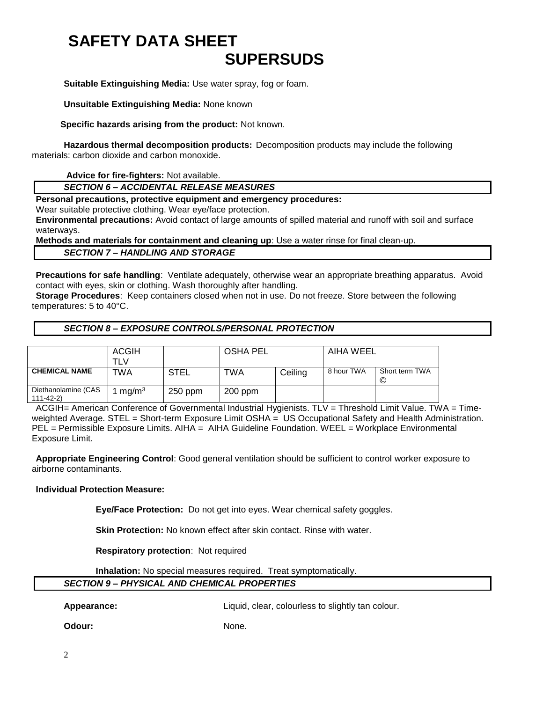### **SAFETY DATA SHEET SUPERSUDS**

**Suitable Extinguishing Media:** Use water spray, fog or foam.

**Unsuitable Extinguishing Media:** None known

 **Specific hazards arising from the product:** Not known.

**Hazardous thermal decomposition products:** Decomposition products may include the following materials: carbon dioxide and carbon monoxide.

**Advice for fire-fighters:** Not available.

*SECTION 6 – ACCIDENTAL RELEASE MEASURES*

**Personal precautions, protective equipment and emergency procedures:**

Wear suitable protective clothing. Wear eye/face protection.

**Environmental precautions:** Avoid contact of large amounts of spilled material and runoff with soil and surface waterways.

**Methods and materials for containment and cleaning up**: Use a water rinse for final clean-up.

*SECTION 7 – HANDLING AND STORAGE*

**Precautions for safe handling**: Ventilate adequately, otherwise wear an appropriate breathing apparatus. Avoid contact with eyes, skin or clothing. Wash thoroughly after handling.

**Storage Procedures**: Keep containers closed when not in use. Do not freeze. Store between the following temperatures: 5 to 40°C.

#### *SECTION 8 – EXPOSURE CONTROLS/PERSONAL PROTECTION*

|                                  | ACGIH             |           | <b>OSHA PEL</b> |         | AIHA WEEL  |                            |
|----------------------------------|-------------------|-----------|-----------------|---------|------------|----------------------------|
|                                  |                   |           |                 |         |            |                            |
|                                  | TLV               |           |                 |         |            |                            |
| <b>CHEMICAL NAME</b>             | TWA               | STEL      | TWA             | Ceiling | 8 hour TWA | Short term TWA<br><b>©</b> |
|                                  |                   |           |                 |         |            |                            |
| Diethanolamine (CAS<br>111-42-2) | mg/m <sup>3</sup> | $250$ ppm | $200$ ppm       |         |            |                            |

ACGIH= American Conference of Governmental Industrial Hygienists. TLV = Threshold Limit Value. TWA = Timeweighted Average. STEL = Short-term Exposure Limit OSHA = US Occupational Safety and Health Administration. PEL = Permissible Exposure Limits. AIHA = AIHA Guideline Foundation. WEEL = Workplace Environmental Exposure Limit.

**Appropriate Engineering Control**: Good general ventilation should be sufficient to control worker exposure to airborne contaminants.

#### **Individual Protection Measure:**

**Eye/Face Protection:** Do not get into eyes. Wear chemical safety goggles.

**Skin Protection:** No known effect after skin contact. Rinse with water.

**Respiratory protection**: Not required

**Inhalation:** No special measures required. Treat symptomatically.

#### *SECTION 9 – PHYSICAL AND CHEMICAL PROPERTIES*

**Appearance:** Liquid, clear, colourless to slightly tan colour.

**Odour:** None.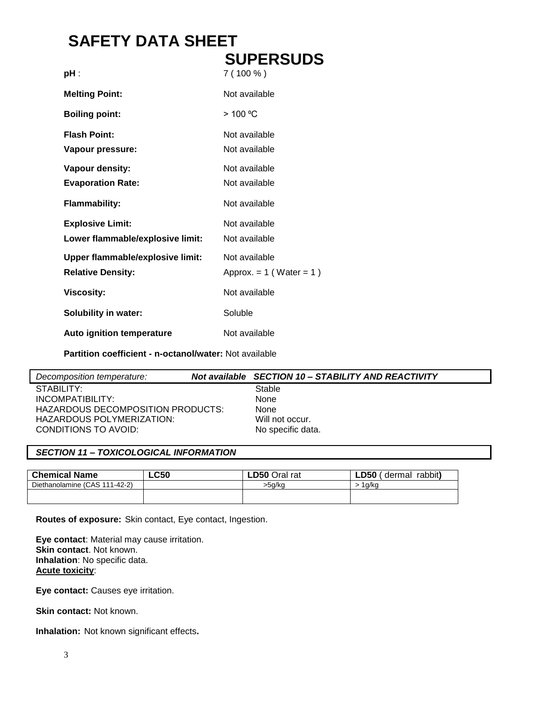### **SAFETY DATA SHEET SUPERSUDS**

| pH :                                                                | SUPERSUDS<br>$7(100\%)$                         |
|---------------------------------------------------------------------|-------------------------------------------------|
| <b>Melting Point:</b>                                               | Not available                                   |
| <b>Boiling point:</b>                                               | >100 °C                                         |
| <b>Flash Point:</b><br>Vapour pressure:                             | Not available<br>Not available                  |
| Vapour density:<br><b>Evaporation Rate:</b><br><b>Flammability:</b> | Not available<br>Not available<br>Not available |
| <b>Explosive Limit:</b><br>Lower flammable/explosive limit:         | Not available<br>Not available                  |
| <b>Upper flammable/explosive limit:</b><br><b>Relative Density:</b> | Not available<br>Approx. $= 1$ (Water $= 1$ )   |
| <b>Viscosity:</b>                                                   | Not available                                   |
| <b>Solubility in water:</b>                                         | Soluble                                         |
| Auto ignition temperature                                           | Not available                                   |

**Partition coefficient - n-octanol/water:** Not available

| Decomposition temperature:        | Not available SECTION 10 - STABILITY AND REACTIVITY |
|-----------------------------------|-----------------------------------------------------|
| STABILITY:                        | Stable                                              |
| INCOMPATIBILITY:                  | None                                                |
| HAZARDOUS DECOMPOSITION PRODUCTS: | None                                                |
| HAZARDOUS POLYMERIZATION:         | Will not occur.                                     |
| CONDITIONS TO AVOID:              | No specific data.                                   |
|                                   |                                                     |

#### *SECTION 11 – TOXICOLOGICAL INFORMATION*

| <b>Chemical Name</b>          | ∟C50 | <b>LD50 Oral rat</b> | LD50<br>rabbit)<br>dermal |
|-------------------------------|------|----------------------|---------------------------|
| Diethanolamine (CAS 111-42-2) |      | >5a/ka               | 1a/ka                     |
|                               |      |                      |                           |
|                               |      |                      |                           |

**Routes of exposure:** Skin contact, Eye contact, Ingestion.

**Eye contact**: Material may cause irritation. **Skin contact**. Not known. **Inhalation**: No specific data. **Acute toxicity**:

**Eye contact:** Causes eye irritation.

**Skin contact: Not known.** 

**Inhalation:** Not known significant effects**.**